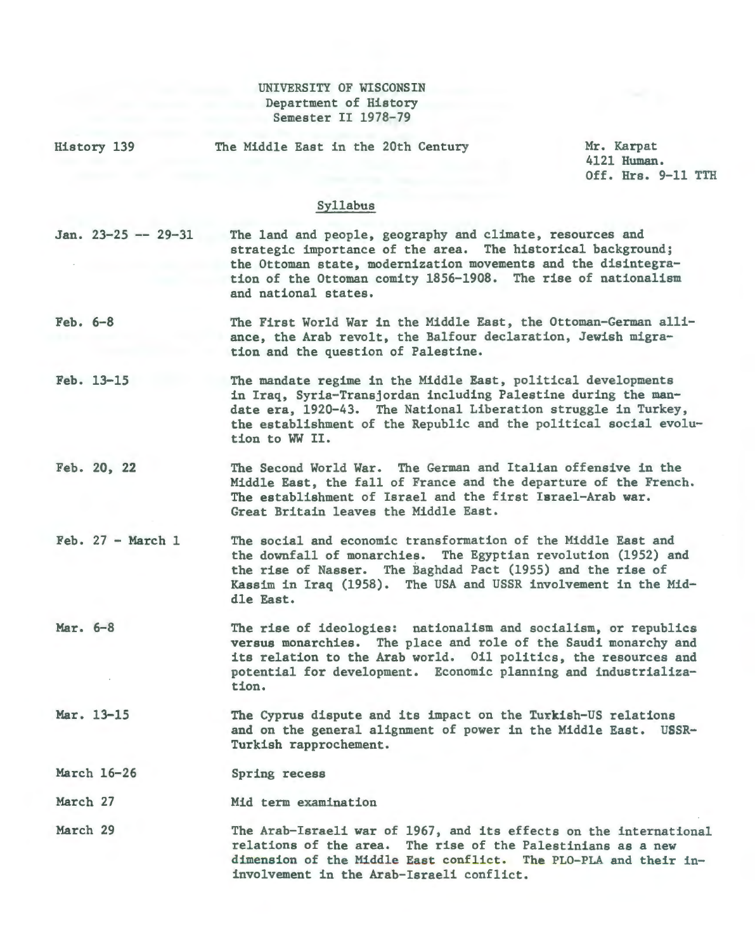## UNIVERSITY OF WISCONSIN Department of History Semester II 1978-79

History 139

The Middle East in the 20th Century

Mr. Karpat 4121 Human. Off. Hrs. 9-11 TTH

## Syllabus

 $Jan. 23-25 -- 29-31$ The land and people, geography and climate, resources and strategic importance of the area. The historical background; the Ottoman state, modernization movements and the disintegration of the Ottoman comity 1856-1908. The rise of nationalism and national states.

Feb. 6-8 The First World War in the Middle East, the Ottoman-German alliance, the Arab revolt, the Balfour declaration, Jewish migration and the question of Palestine.

Feb. 13-15 The mandate regime in the Middle East, political developments in Iraq, Syria-Transjordan including Palestine during the mandate era, 1920-43. The National Liberation struggle in Turkey, the establishment of the Republic and the political social evolution to WW II.

- Feb. 20, 22 The Second World War. The German and Italian offensive in the Middle East, the fall of France and the departure of the French. The establishment of Israel and the first Israel-Arab war. Great Britain leaves the Middle East.
- $Feb. 27 March 1$ The social and economic transformation of the Middle East and the downfall of monarchies. The Egyptian revolution (1952) and the rise of Nasser. The Baghdad Pact (1955) and the rise of Kassim in Iraq (1958). The USA and USSR involvement in the Middle East.
- Mar. 6-8 The rise of ideologies: nationalism and socialism, or republics versus monarchies. The place and role of the Saudi monarchy and its relation to the Arab world. Oil politics, the resources and potential for development. Economic planning and industrialization.
- Mar. 13-15 The Cyprus dispute and its impact on the Turkish-US relations and on the general alignment of power in the Middle East. USSR-Turkish rapprochement.

March 16-26 Spring recess

March 27 Mid term examination

March 29 The Arab-Israeli war of 1967, and its effects on the international relations of the area. The rise of the Palestinians as a new dimension of the Middle East conflict. The PLO-PLA and their ininvolvement in the Arab-Israeli conflict.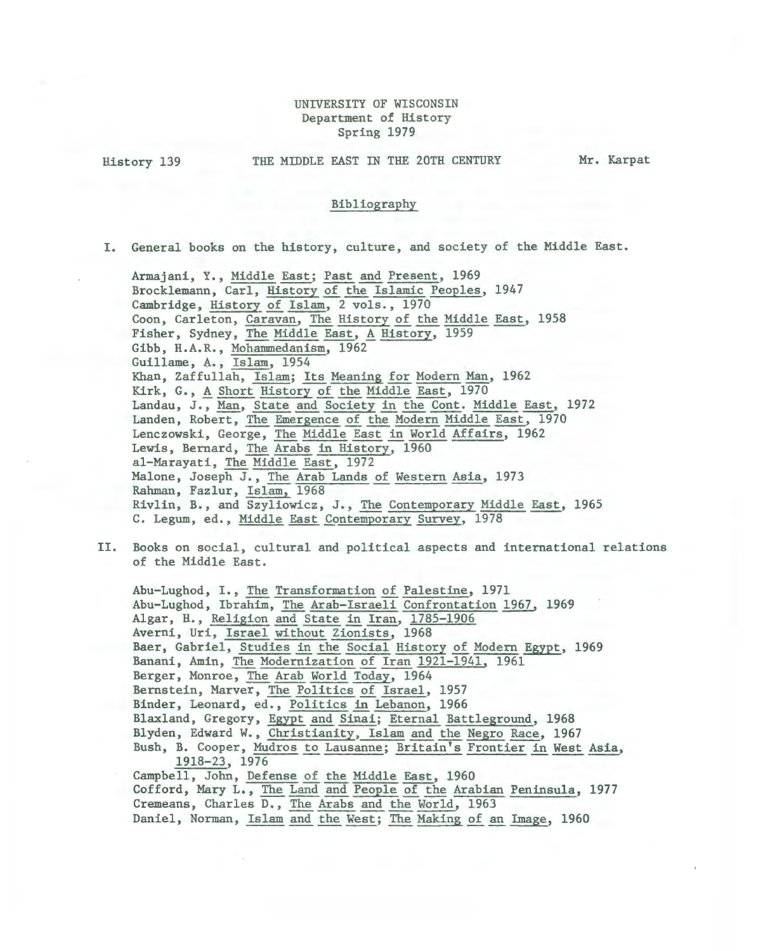## UNIVERSITY OF WISCONSIN Department of History Spring 1979

History 139

THE MIDDLE EAST IN THE 20TH CENTURY

Mr. Karpat

## Bibliography

I. General books on the history, culture, and society of the Middle East.

Armajani, Y., Middle East; Past and Present, 1969 Brocklemann, Carl, History of the Islamic Peoples, 1947 Cambridge, History of Islam, 2 vols., 1970 Coon, Carleton, Caravan, The History of the Middle East, 1958 Fisher, Sydney, The Middle East, A History, 1959 Gibb, H.A.R., Mohammedanism, 1962 Guillame, A., Islam, 1954 Khan, Zaffullah, Islam; Its Meaning for Modern Man, 1962 Kirk, G., A Short History of the Middle East, 1970 Landau, J. , Man, State and Society in the Cont. Middle East, 1972 Landen, Robert, The Emergence of the Modern Middle East, 1970 Lenczowski, George, The Middle East in World Affairs, 1962 Lewis, Bernard, The Arabs in History, 1960 al-Marayati, The Middle East, 1972 Malone, Joseph J., The Arab Lands of Western Asia, 1973 Rahman, Fazlur, Islam, 1968 Rivlin, B., and Szyliowicz, J., The Contemporary Middle East, 1965 C. Legum, ed., Middle East Contemporary Survey, 1978

II. Books on social, cultural and political aspects and international relations of the Middle East.

Abu-Lughod, I., The Transformation of Palestine, 1971 Abu-Lughod, Ibrahim, The Arab-Israeli Confrontation 1967, 1969 Algar, H., Religion and State in Iran, 1785-1906 Averni, Uri, Israel without Zionists, 1968 Baer, Gabriel, Studies in the Social History of Modern Egypt, 1969 Banani, Amin, The Modernization of Iran 1921-1941, 1961 Berger, Monroe, The Arab World Today, 1964 Bernstein, Marver, The Politics of Israel, 1957 Binder, Leonard, ed., Politics in Lebanon, 1966 Blaxland, Gregory, Egypt and Sinai; Eternal Battleground, 1968 Blyden, Edward W., Christianity, Islam and the Negro Race, 1967 Bush, B. Cooper, Mudros to Lausanne; Britain's Frontier in West Asia, , Edward W., Christianity, Islam and the Negro Race, 1967<br>B. Cooper, Mudros to Lausanne; Britain's Frontier in West Asia<br>1918-23, 1976 Campbell, John, Defense of the Middle East, 1960 Cofford, Mary L., The Land and People of the Arabian Peninsula, 1977 Cremeans, Charles D., The Arabs and the World, 1963 Daniel, Norman, Islam and the West; The Making of an Image, 1960